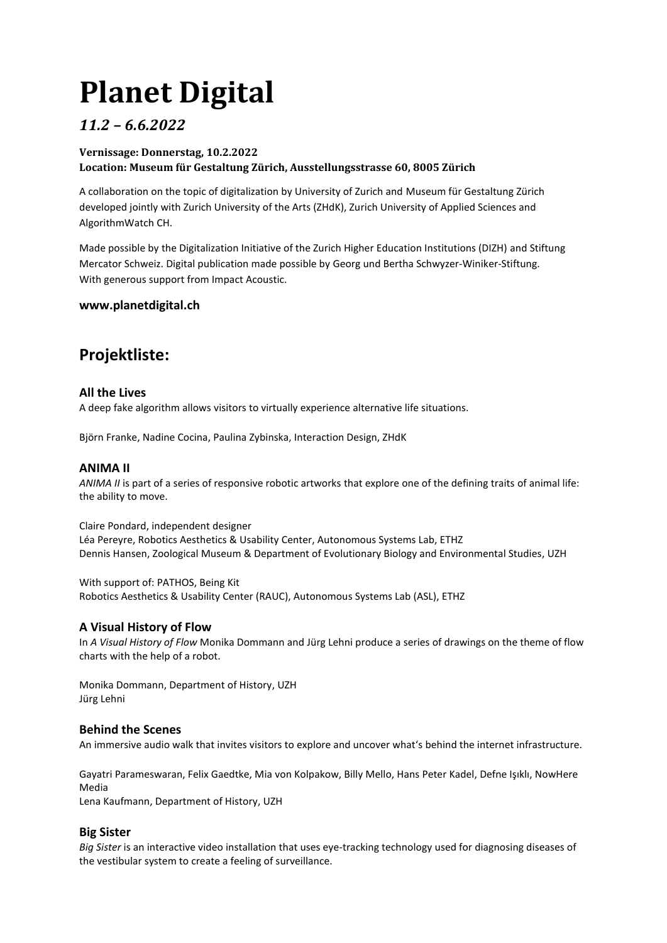# **Planet Digital**

# *11.2 – 6.6.2022*

# **Vernissage: Donnerstag, 10.2.2022**

# **Location: Museum für Gestaltung Zürich, Ausstellungsstrasse 60, 8005 Zürich**

A collaboration on the topic of digitalization by University of Zurich and Museum für Gestaltung Zürich developed jointly with Zurich University of the Arts (ZHdK), Zurich University of Applied Sciences and AlgorithmWatch CH.

Made possible by the Digitalization Initiative of the Zurich Higher Education Institutions (DIZH) and Stiftung Mercator Schweiz. Digital publication made possible by Georg und Bertha Schwyzer-Winiker-Stiftung. With generous support from Impact Acoustic.

# **www.planetdigital.ch**

# **Projektliste:**

# **All the Lives**

A deep fake algorithm allows visitors to virtually experience alternative life situations.

Björn Franke, Nadine Cocina, Paulina Zybinska, Interaction Design, ZHdK

# **ANIMA II**

*ANIMA II* is part of a series of responsive robotic artworks that explore one of the defining traits of animal life: the ability to move.

Claire Pondard, independent designer Léa Pereyre, Robotics Aesthetics & Usability Center, Autonomous Systems Lab, ETHZ Dennis Hansen, Zoological Museum & Department of Evolutionary Biology and Environmental Studies, UZH

With support of: PATHOS, Being Kit Robotics Aesthetics & Usability Center (RAUC), Autonomous Systems Lab (ASL), ETHZ

# **A Visual History of Flow**

In *A Visual History of Flow* Monika Dommann and Jürg Lehni produce a series of drawings on the theme of flow charts with the help of a robot.

Monika Dommann, Department of History, UZH Jürg Lehni

# **Behind the Scenes**

An immersive audio walk that invites visitors to explore and uncover what's behind the internet infrastructure.

Gayatri Parameswaran, Felix Gaedtke, Mia von Kolpakow, Billy Mello, Hans Peter Kadel, Defne Işıklı, NowHere Media

Lena Kaufmann, Department of History, UZH

# **Big Sister**

*Big Sister* is an interactive video installation that uses eye-tracking technology used for diagnosing diseases of the vestibular system to create a feeling of surveillance.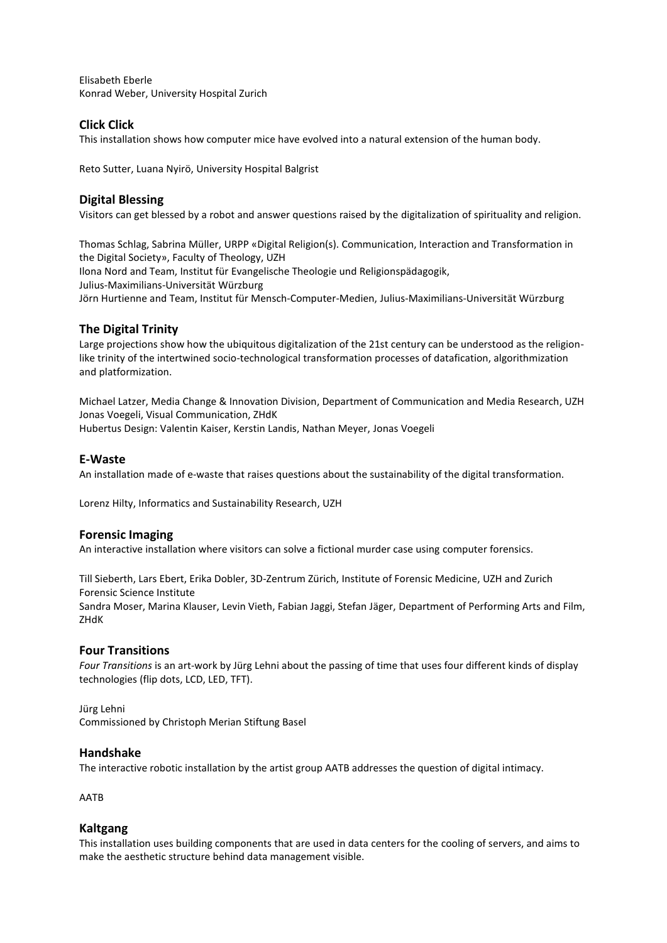Elisabeth Eberle Konrad Weber, University Hospital Zurich

# **Click Click**

This installation shows how computer mice have evolved into a natural extension of the human body.

Reto Sutter, Luana Nyirö, University Hospital Balgrist

# **Digital Blessing**

Visitors can get blessed by a robot and answer questions raised by the digitalization of spirituality and religion.

Thomas Schlag, Sabrina Müller, URPP «Digital Religion(s). Communication, Interaction and Transformation in the Digital Society», Faculty of Theology, UZH Ilona Nord and Team, Institut für Evangelische Theologie und Religionspädagogik, Julius-Maximilians-Universität Würzburg Jörn Hurtienne and Team, Institut für Mensch-Computer-Medien, Julius-Maximilians-Universität Würzburg

# **The Digital Trinity**

Large projections show how the ubiquitous digitalization of the 21st century can be understood as the religionlike trinity of the intertwined socio-technological transformation processes of datafication, algorithmization and platformization.

Michael Latzer, Media Change & Innovation Division, Department of Communication and Media Research, UZH Jonas Voegeli, Visual Communication, ZHdK Hubertus Design: Valentin Kaiser, Kerstin Landis, Nathan Meyer, Jonas Voegeli

# **E-Waste**

An installation made of e-waste that raises questions about the sustainability of the digital transformation.

Lorenz Hilty, Informatics and Sustainability Research, UZH

# **Forensic Imaging**

An interactive installation where visitors can solve a fictional murder case using computer forensics.

Till Sieberth, Lars Ebert, Erika Dobler, 3D-Zentrum Zürich, Institute of Forensic Medicine, UZH and Zurich Forensic Science Institute

Sandra Moser, Marina Klauser, Levin Vieth, Fabian Jaggi, Stefan Jäger, Department of Performing Arts and Film, ZHdK

# **Four Transitions**

*Four Transitions* is an art-work by Jürg Lehni about the passing of time that uses four different kinds of display technologies (flip dots, LCD, LED, TFT).

Jürg Lehni Commissioned by Christoph Merian Stiftung Basel

# **Handshake**

The interactive robotic installation by the artist group AATB addresses the question of digital intimacy.

AATB

#### **Kaltgang**

This installation uses building components that are used in data centers for the cooling of servers, and aims to make the aesthetic structure behind data management visible.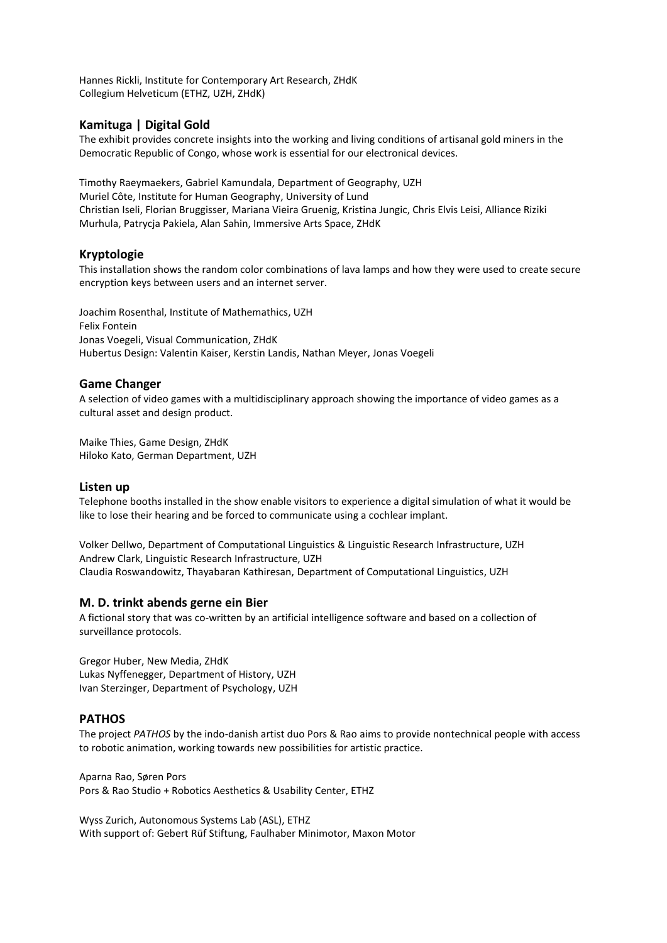Hannes Rickli, Institute for Contemporary Art Research, ZHdK Collegium Helveticum (ETHZ, UZH, ZHdK)

# **Kamituga | Digital Gold**

The exhibit provides concrete insights into the working and living conditions of artisanal gold miners in the Democratic Republic of Congo, whose work is essential for our electronical devices.

Timothy Raeymaekers, Gabriel Kamundala, Department of Geography, UZH Muriel Côte, Institute for Human Geography, University of Lund Christian Iseli, Florian Bruggisser, Mariana Vieira Gruenig, Kristina Jungic, Chris Elvis Leisi, Alliance Riziki Murhula, Patrycja Pakiela, Alan Sahin, Immersive Arts Space, ZHdK

# **Kryptologie**

This installation shows the random color combinations of lava lamps and how they were used to create secure encryption keys between users and an internet server.

Joachim Rosenthal, Institute of Mathemathics, UZH Felix Fontein Jonas Voegeli, Visual Communication, ZHdK Hubertus Design: Valentin Kaiser, Kerstin Landis, Nathan Meyer, Jonas Voegeli

# **Game Changer**

A selection of video games with a multidisciplinary approach showing the importance of video games as a cultural asset and design product.

Maike Thies, Game Design, ZHdK Hiloko Kato, German Department, UZH

# **Listen up**

Telephone booths installed in the show enable visitors to experience a digital simulation of what it would be like to lose their hearing and be forced to communicate using a cochlear implant.

Volker Dellwo, Department of Computational Linguistics & Linguistic Research Infrastructure, UZH Andrew Clark, Linguistic Research Infrastructure, UZH Claudia Roswandowitz, Thayabaran Kathiresan, Department of Computational Linguistics, UZH

# **M. D. trinkt abends gerne ein Bier**

A fictional story that was co-written by an artificial intelligence software and based on a collection of surveillance protocols.

Gregor Huber, New Media, ZHdK Lukas Nyffenegger, Department of History, UZH Ivan Sterzinger, Department of Psychology, UZH

# **PATHOS**

The project *PATHOS* by the indo-danish artist duo Pors & Rao aims to provide nontechnical people with access to robotic animation, working towards new possibilities for artistic practice.

Aparna Rao, Søren Pors Pors & Rao Studio + Robotics Aesthetics & Usability Center, ETHZ

Wyss Zurich, Autonomous Systems Lab (ASL), ETHZ With support of: Gebert Rüf Stiftung, Faulhaber Minimotor, Maxon Motor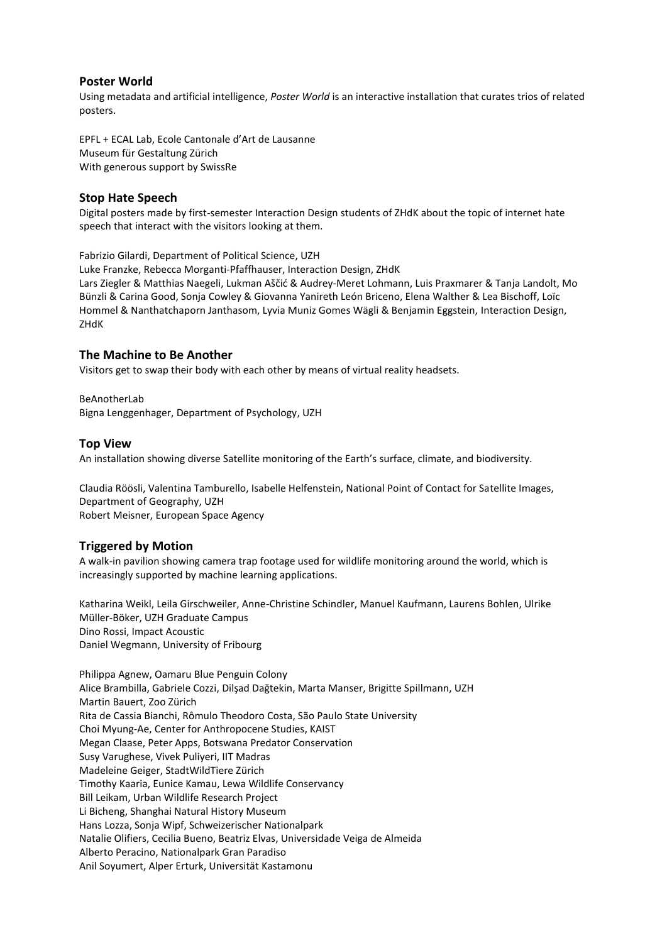# **Poster World**

Using metadata and artificial intelligence, *Poster World* is an interactive installation that curates trios of related posters.

EPFL + ECAL Lab, Ecole Cantonale d'Art de Lausanne Museum für Gestaltung Zürich With generous support by SwissRe

#### **Stop Hate Speech**

Digital posters made by first-semester Interaction Design students of ZHdK about the topic of internet hate speech that interact with the visitors looking at them.

Fabrizio Gilardi, Department of Political Science, UZH

Luke Franzke, Rebecca Morganti-Pfaffhauser, Interaction Design, ZHdK Lars Ziegler & Matthias Naegeli, Lukman Aščić & Audrey-Meret Lohmann, Luis Praxmarer & Tanja Landolt, Mo Bünzli & Carina Good, Sonja Cowley & Giovanna Yanireth León Briceno, Elena Walther & Lea Bischoff, Loïc Hommel & Nanthatchaporn Janthasom, Lyvia Muniz Gomes Wägli & Benjamin Eggstein, Interaction Design, ZHdK

#### **The Machine to Be Another**

Visitors get to swap their body with each other by means of virtual reality headsets.

BeAnotherLab Bigna Lenggenhager, Department of Psychology, UZH

#### **Top View**

An installation showing diverse Satellite monitoring of the Earth's surface, climate, and biodiversity.

Claudia Röösli, Valentina Tamburello, Isabelle Helfenstein, National Point of Contact for Satellite Images, Department of Geography, UZH Robert Meisner, European Space Agency

# **Triggered by Motion**

A walk-in pavilion showing camera trap footage used for wildlife monitoring around the world, which is increasingly supported by machine learning applications.

Katharina Weikl, Leila Girschweiler, Anne-Christine Schindler, Manuel Kaufmann, Laurens Bohlen, Ulrike Müller-Böker, UZH Graduate Campus Dino Rossi, Impact Acoustic Daniel Wegmann, University of Fribourg

Philippa Agnew, Oamaru Blue Penguin Colony Alice Brambilla, Gabriele Cozzi, Dilşad Dağtekin, Marta Manser, Brigitte Spillmann, UZH Martin Bauert, Zoo Zürich Rita de Cassia Bianchi, Rômulo Theodoro Costa, São Paulo State University Choi Myung-Ae, Center for Anthropocene Studies, KAIST Megan Claase, Peter Apps, Botswana Predator Conservation Susy Varughese, Vivek Puliyeri, IIT Madras Madeleine Geiger, StadtWildTiere Zürich Timothy Kaaria, Eunice Kamau, Lewa Wildlife Conservancy Bill Leikam, Urban Wildlife Research Project Li Bicheng, Shanghai Natural History Museum Hans Lozza, Sonja Wipf, Schweizerischer Nationalpark Natalie Olifiers, Cecilia Bueno, Beatriz Elvas, Universidade Veiga de Almeida Alberto Peracino, Nationalpark Gran Paradiso Anil Soyumert, Alper Erturk, Universität Kastamonu